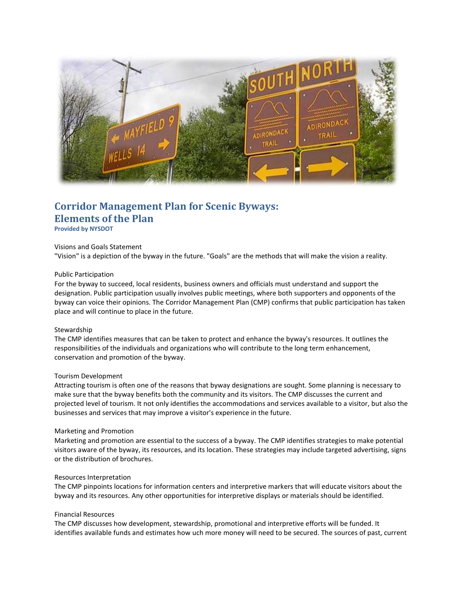

# **Corridor Management Plan for Scenic Byways: Elements of the Plan**

**Provided by NYSDOT**

## Visions and Goals Statement

"Vision" is a depiction of the byway in the future. "Goals" are the methods that will make the vision a reality.

#### Public Participation

For the byway to succeed, local residents, business owners and officials must understand and support the designation. Public participation usually involves public meetings, where both supporters and opponents of the byway can voice their opinions. The Corridor Management Plan (CMP) confirms that public participation has taken place and will continue to place in the future.

## Stewardship

The CMP identifies measures that can be taken to protect and enhance the byway's resources. It outlines the responsibilities of the individuals and organizations who will contribute to the long term enhancement, conservation and promotion of the byway.

## Tourism Development

Attracting tourism is often one of the reasons that byway designations are sought. Some planning is necessary to make sure that the byway benefits both the community and its visitors. The CMP discusses the current and projected level of tourism. It not only identifies the accommodations and services available to a visitor, but also the businesses and services that may improve a visitor's experience in the future.

#### Marketing and Promotion

Marketing and promotion are essential to the success of a byway. The CMP identifies strategies to make potential visitors aware of the byway, its resources, and its location. These strategies may include targeted advertising, signs or the distribution of brochures.

## Resources Interpretation

The CMP pinpoints locations for information centers and interpretive markers that will educate visitors about the byway and its resources. Any other opportunities for interpretive displays or materials should be identified.

#### Financial Resources

The CMP discusses how development, stewardship, promotional and interpretive efforts will be funded. It identifies available funds and estimates how uch more money will need to be secured. The sources of past, current